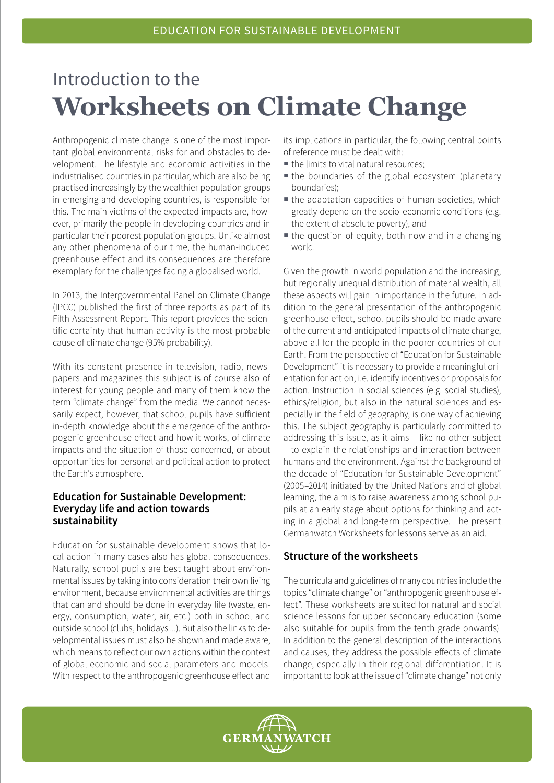# Introduction to the **Worksheets on Climate Change**

Anthropogenic climate change is one of the most important global environmental risks for and obstacles to development. The lifestyle and economic activities in the industrialised countries in particular, which are also being practised increasingly by the wealthier population groups in emerging and developing countries, is responsible for this. The main victims of the expected impacts are, however, primarily the people in developing countries and in particular their poorest population groups. Unlike almost any other phenomena of our time, the human-induced greenhouse effect and its consequences are therefore exemplary for the challenges facing a globalised world.

In 2013, the Intergovernmental Panel on Climate Change (IPCC) published the first of three reports as part of its Fifth Assessment Report. This report provides the scientific certainty that human activity is the most probable cause of climate change (95% probability).

With its constant presence in television, radio, newspapers and magazines this subject is of course also of interest for young people and many of them know the term "climate change" from the media. We cannot necessarily expect, however, that school pupils have sufficient in-depth knowledge about the emergence of the anthropogenic greenhouse effect and how it works, of climate impacts and the situation of those concerned, or about opportunities for personal and political action to protect the Earth's atmosphere.

## **Education for Sustainable Development: Everyday life and action towards sustainability**

Education for sustainable development shows that local action in many cases also has global consequences. Naturally, school pupils are best taught about environmental issues by taking into consideration their own living environment, because environmental activities are things that can and should be done in everyday life (waste, energy, consumption, water, air, etc.) both in school and outside school (clubs, holidays ...). But also the links to developmental issues must also be shown and made aware, which means to reflect our own actions within the context of global economic and social parameters and models. With respect to the anthropogenic greenhouse effect and

its implications in particular, the following central points of reference must be dealt with:

- the limits to vital natural resources;
- the boundaries of the global ecosystem (planetary boundaries);
- $\blacksquare$  the adaptation capacities of human societies, which greatly depend on the socio-economic conditions (e.g. the extent of absolute poverty), and
- the question of equity, both now and in a changing world.

Given the growth in world population and the increasing, but regionally unequal distribution of material wealth, all these aspects will gain in importance in the future. In addition to the general presentation of the anthropogenic greenhouse effect, school pupils should be made aware of the current and anticipated impacts of climate change, above all for the people in the poorer countries of our Earth. From the perspective of "Education for Sustainable Development" it is necessary to provide a meaningful orientation for action, i.e. identify incentives or proposals for action. Instruction in social sciences (e.g. social studies), ethics/religion, but also in the natural sciences and especially in the field of geography, is one way of achieving this. The subject geography is particularly committed to addressing this issue, as it aims – like no other subject – to explain the relationships and interaction between humans and the environment. Against the background of the decade of "Education for Sustainable Development" (2005–2014) initiated by the United Nations and of global learning, the aim is to raise awareness among school pupils at an early stage about options for thinking and acting in a global and long-term perspective. The present Germanwatch Worksheets for lessons serve as an aid.

### **Structure of the worksheets**

The curricula and guidelines of many countries include the topics "climate change" or "anthropogenic greenhouse effect". These worksheets are suited for natural and social science lessons for upper secondary education (some also suitable for pupils from the tenth grade onwards). In addition to the general description of the interactions and causes, they address the possible effects of climate change, especially in their regional differentiation. It is important to look at the issue of "climate change" not only